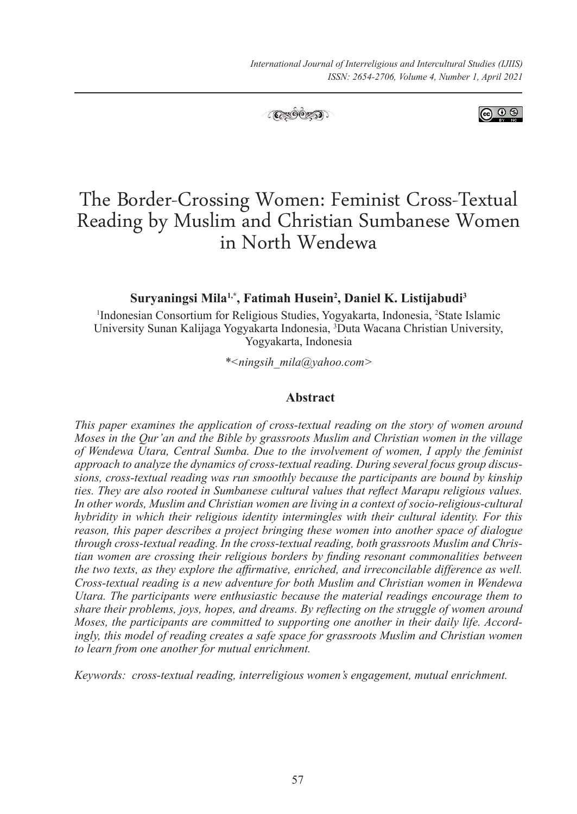

**ெ** ெ

#### **Suryaningsi Mila1,\*, Fatimah Husein2 , Daniel K. Listijabudi3**

<sup>1</sup>Indonesian Consortium for Religious Studies, Yogyakarta, Indonesia, <sup>2</sup>State Islamic University Sunan Kalijaga Yogyakarta Indonesia, 3 Duta Wacana Christian University, Yogyakarta, Indonesia

*\*<ningsih\_mila@yahoo.com>*

#### **Abstract**

*This paper examines the application of cross-textual reading on the story of women around Moses in the Qur'an and the Bible by grassroots Muslim and Christian women in the village of Wendewa Utara, Central Sumba. Due to the involvement of women, I apply the feminist approach to analyze the dynamics of cross-textual reading. During several focus group discussions, cross-textual reading was run smoothly because the participants are bound by kinship ties. They are also rooted in Sumbanese cultural values that reflect Marapu religious values. In other words, Muslim and Christian women are living in a context of socio-religious-cultural hybridity in which their religious identity intermingles with their cultural identity. For this reason, this paper describes a project bringing these women into another space of dialogue through cross-textual reading. In the cross-textual reading, both grassroots Muslim and Christian women are crossing their religious borders by finding resonant commonalities between the two texts, as they explore the affirmative, enriched, and irreconcilable difference as well. Cross-textual reading is a new adventure for both Muslim and Christian women in Wendewa Utara. The participants were enthusiastic because the material readings encourage them to share their problems, joys, hopes, and dreams. By reflecting on the struggle of women around Moses, the participants are committed to supporting one another in their daily life. Accordingly, this model of reading creates a safe space for grassroots Muslim and Christian women to learn from one another for mutual enrichment.*

*Keywords: cross-textual reading, interreligious women's engagement, mutual enrichment.*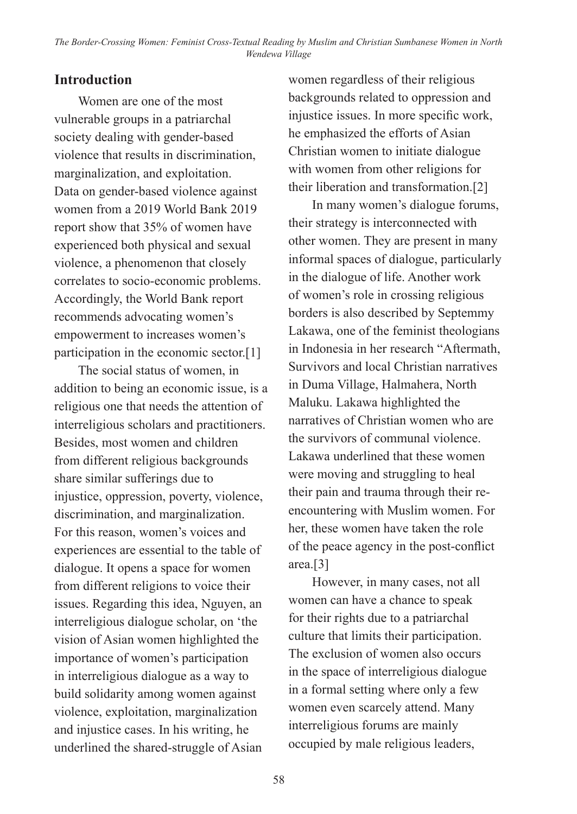#### **Introduction**

Women are one of the most vulnerable groups in a patriarchal society dealing with gender-based violence that results in discrimination, marginalization, and exploitation. Data on gender-based violence against women from a 2019 World Bank 2019 report show that 35% of women have experienced both physical and sexual violence, a phenomenon that closely correlates to socio-economic problems. Accordingly, the World Bank report recommends advocating women's empowerment to increases women's participation in the economic sector.[1]

The social status of women, in addition to being an economic issue, is a religious one that needs the attention of interreligious scholars and practitioners. Besides, most women and children from different religious backgrounds share similar sufferings due to injustice, oppression, poverty, violence, discrimination, and marginalization. For this reason, women's voices and experiences are essential to the table of dialogue. It opens a space for women from different religions to voice their issues. Regarding this idea, Nguyen, an interreligious dialogue scholar, on 'the vision of Asian women highlighted the importance of women's participation in interreligious dialogue as a way to build solidarity among women against violence, exploitation, marginalization and injustice cases. In his writing, he underlined the shared-struggle of Asian

women regardless of their religious backgrounds related to oppression and injustice issues. In more specific work, he emphasized the efforts of Asian Christian women to initiate dialogue with women from other religions for their liberation and transformation.[2]

In many women's dialogue forums, their strategy is interconnected with other women. They are present in many informal spaces of dialogue, particularly in the dialogue of life. Another work of women's role in crossing religious borders is also described by Septemmy Lakawa, one of the feminist theologians in Indonesia in her research "Aftermath, Survivors and local Christian narratives in Duma Village, Halmahera, North Maluku. Lakawa highlighted the narratives of Christian women who are the survivors of communal violence. Lakawa underlined that these women were moving and struggling to heal their pain and trauma through their reencountering with Muslim women. For her, these women have taken the role of the peace agency in the post-conflict area.[3]

However, in many cases, not all women can have a chance to speak for their rights due to a patriarchal culture that limits their participation. The exclusion of women also occurs in the space of interreligious dialogue in a formal setting where only a few women even scarcely attend. Many interreligious forums are mainly occupied by male religious leaders,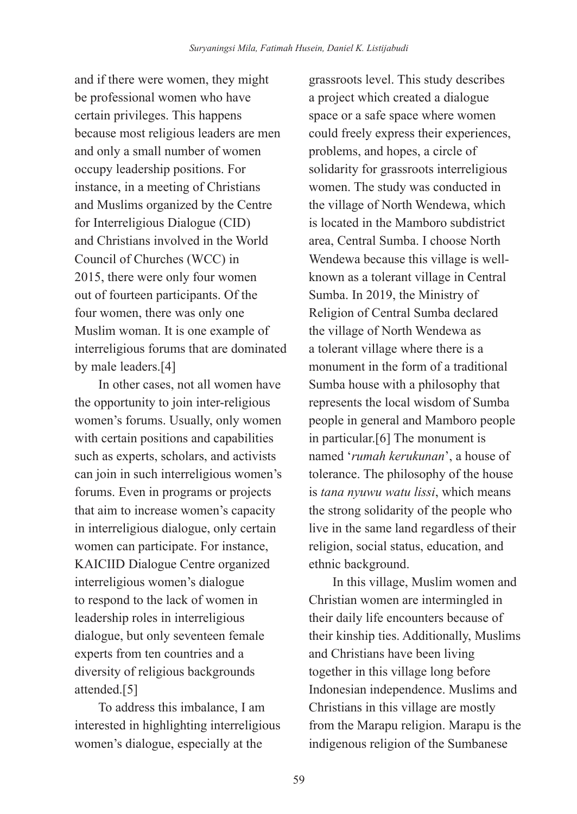and if there were women, they might be professional women who have certain privileges. This happens because most religious leaders are men and only a small number of women occupy leadership positions. For instance, in a meeting of Christians and Muslims organized by the Centre for Interreligious Dialogue (CID) and Christians involved in the World Council of Churches (WCC) in 2015, there were only four women out of fourteen participants. Of the four women, there was only one Muslim woman. It is one example of interreligious forums that are dominated by male leaders.[4]

In other cases, not all women have the opportunity to join inter-religious women's forums. Usually, only women with certain positions and capabilities such as experts, scholars, and activists can join in such interreligious women's forums. Even in programs or projects that aim to increase women's capacity in interreligious dialogue, only certain women can participate. For instance, KAICIID Dialogue Centre organized interreligious women's dialogue to respond to the lack of women in leadership roles in interreligious dialogue, but only seventeen female experts from ten countries and a diversity of religious backgrounds attended.[5]

To address this imbalance, I am interested in highlighting interreligious women's dialogue, especially at the

grassroots level. This study describes a project which created a dialogue space or a safe space where women could freely express their experiences, problems, and hopes, a circle of solidarity for grassroots interreligious women. The study was conducted in the village of North Wendewa, which is located in the Mamboro subdistrict area, Central Sumba. I choose North Wendewa because this village is wellknown as a tolerant village in Central Sumba. In 2019, the Ministry of Religion of Central Sumba declared the village of North Wendewa as a tolerant village where there is a monument in the form of a traditional Sumba house with a philosophy that represents the local wisdom of Sumba people in general and Mamboro people in particular.[6] The monument is named '*rumah kerukunan*', a house of tolerance. The philosophy of the house is *tana nyuwu watu lissi*, which means the strong solidarity of the people who live in the same land regardless of their religion, social status, education, and ethnic background.

In this village, Muslim women and Christian women are intermingled in their daily life encounters because of their kinship ties. Additionally, Muslims and Christians have been living together in this village long before Indonesian independence. Muslims and Christians in this village are mostly from the Marapu religion. Marapu is the indigenous religion of the Sumbanese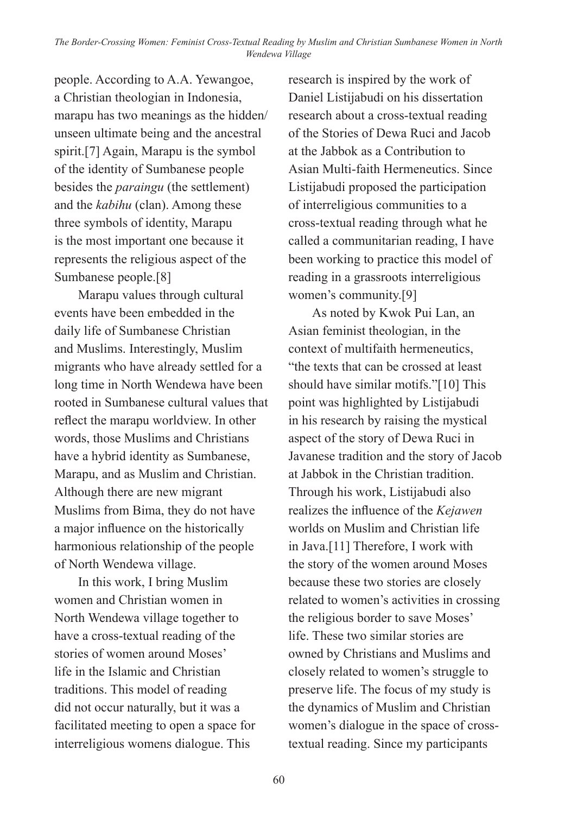people. According to A.A. Yewangoe, a Christian theologian in Indonesia, marapu has two meanings as the hidden/ unseen ultimate being and the ancestral spirit.[7] Again, Marapu is the symbol of the identity of Sumbanese people besides the *paraingu* (the settlement) and the *kabihu* (clan). Among these three symbols of identity, Marapu is the most important one because it represents the religious aspect of the Sumbanese people.[8]

Marapu values through cultural events have been embedded in the daily life of Sumbanese Christian and Muslims. Interestingly, Muslim migrants who have already settled for a long time in North Wendewa have been rooted in Sumbanese cultural values that reflect the marapu worldview. In other words, those Muslims and Christians have a hybrid identity as Sumbanese, Marapu, and as Muslim and Christian. Although there are new migrant Muslims from Bima, they do not have a major influence on the historically harmonious relationship of the people of North Wendewa village.

In this work, I bring Muslim women and Christian women in North Wendewa village together to have a cross-textual reading of the stories of women around Moses' life in the Islamic and Christian traditions. This model of reading did not occur naturally, but it was a facilitated meeting to open a space for interreligious womens dialogue. This

research is inspired by the work of Daniel Listijabudi on his dissertation research about a cross-textual reading of the Stories of Dewa Ruci and Jacob at the Jabbok as a Contribution to Asian Multi-faith Hermeneutics. Since Listijabudi proposed the participation of interreligious communities to a cross-textual reading through what he called a communitarian reading, I have been working to practice this model of reading in a grassroots interreligious women's community.[9]

As noted by Kwok Pui Lan, an Asian feminist theologian, in the context of multifaith hermeneutics, "the texts that can be crossed at least should have similar motifs."[10] This point was highlighted by Listijabudi in his research by raising the mystical aspect of the story of Dewa Ruci in Javanese tradition and the story of Jacob at Jabbok in the Christian tradition. Through his work, Listijabudi also realizes the influence of the *Kejawen* worlds on Muslim and Christian life in Java.[11] Therefore, I work with the story of the women around Moses because these two stories are closely related to women's activities in crossing the religious border to save Moses' life. These two similar stories are owned by Christians and Muslims and closely related to women's struggle to preserve life. The focus of my study is the dynamics of Muslim and Christian women's dialogue in the space of crosstextual reading. Since my participants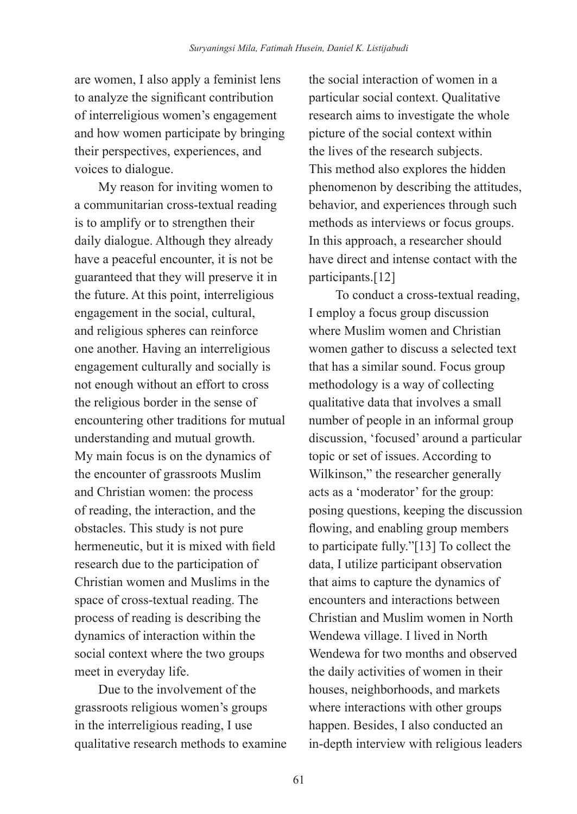are women, I also apply a feminist lens to analyze the significant contribution of interreligious women's engagement and how women participate by bringing their perspectives, experiences, and voices to dialogue.

My reason for inviting women to a communitarian cross-textual reading is to amplify or to strengthen their daily dialogue. Although they already have a peaceful encounter, it is not be guaranteed that they will preserve it in the future. At this point, interreligious engagement in the social, cultural, and religious spheres can reinforce one another. Having an interreligious engagement culturally and socially is not enough without an effort to cross the religious border in the sense of encountering other traditions for mutual understanding and mutual growth. My main focus is on the dynamics of the encounter of grassroots Muslim and Christian women: the process of reading, the interaction, and the obstacles. This study is not pure hermeneutic, but it is mixed with field research due to the participation of Christian women and Muslims in the space of cross-textual reading. The process of reading is describing the dynamics of interaction within the social context where the two groups meet in everyday life.

Due to the involvement of the grassroots religious women's groups in the interreligious reading, I use qualitative research methods to examine the social interaction of women in a particular social context. Qualitative research aims to investigate the whole picture of the social context within the lives of the research subjects. This method also explores the hidden phenomenon by describing the attitudes, behavior, and experiences through such methods as interviews or focus groups. In this approach, a researcher should have direct and intense contact with the participants.[12]

 To conduct a cross-textual reading, I employ a focus group discussion where Muslim women and Christian women gather to discuss a selected text that has a similar sound. Focus group methodology is a way of collecting qualitative data that involves a small number of people in an informal group discussion, 'focused' around a particular topic or set of issues. According to Wilkinson," the researcher generally acts as a 'moderator' for the group: posing questions, keeping the discussion flowing, and enabling group members to participate fully."[13] To collect the data, I utilize participant observation that aims to capture the dynamics of encounters and interactions between Christian and Muslim women in North Wendewa village. I lived in North Wendewa for two months and observed the daily activities of women in their houses, neighborhoods, and markets where interactions with other groups happen. Besides, I also conducted an in-depth interview with religious leaders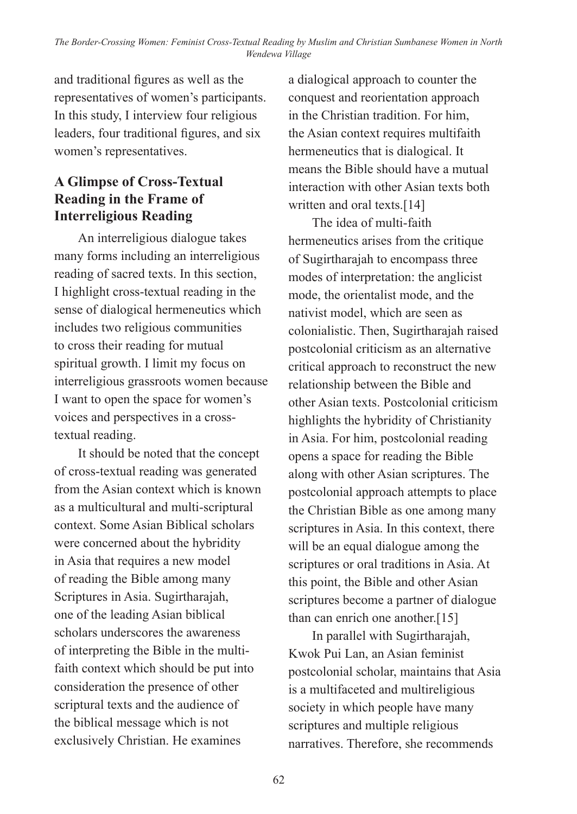and traditional figures as well as the representatives of women's participants. In this study, I interview four religious leaders, four traditional figures, and six women's representatives.

## **A Glimpse of Cross-Textual Reading in the Frame of Interreligious Reading**

An interreligious dialogue takes many forms including an interreligious reading of sacred texts. In this section, I highlight cross-textual reading in the sense of dialogical hermeneutics which includes two religious communities to cross their reading for mutual spiritual growth. I limit my focus on interreligious grassroots women because I want to open the space for women's voices and perspectives in a crosstextual reading.

It should be noted that the concept of cross-textual reading was generated from the Asian context which is known as a multicultural and multi-scriptural context. Some Asian Biblical scholars were concerned about the hybridity in Asia that requires a new model of reading the Bible among many Scriptures in Asia. Sugirtharajah, one of the leading Asian biblical scholars underscores the awareness of interpreting the Bible in the multifaith context which should be put into consideration the presence of other scriptural texts and the audience of the biblical message which is not exclusively Christian. He examines

a dialogical approach to counter the conquest and reorientation approach in the Christian tradition. For him, the Asian context requires multifaith hermeneutics that is dialogical. It means the Bible should have a mutual interaction with other Asian texts both written and oral texts.[14]

The idea of multi-faith hermeneutics arises from the critique of Sugirtharajah to encompass three modes of interpretation: the anglicist mode, the orientalist mode, and the nativist model, which are seen as colonialistic. Then, Sugirtharajah raised postcolonial criticism as an alternative critical approach to reconstruct the new relationship between the Bible and other Asian texts. Postcolonial criticism highlights the hybridity of Christianity in Asia. For him, postcolonial reading opens a space for reading the Bible along with other Asian scriptures. The postcolonial approach attempts to place the Christian Bible as one among many scriptures in Asia. In this context, there will be an equal dialogue among the scriptures or oral traditions in Asia. At this point, the Bible and other Asian scriptures become a partner of dialogue than can enrich one another.[15]

In parallel with Sugirtharajah, Kwok Pui Lan, an Asian feminist postcolonial scholar, maintains that Asia is a multifaceted and multireligious society in which people have many scriptures and multiple religious narratives. Therefore, she recommends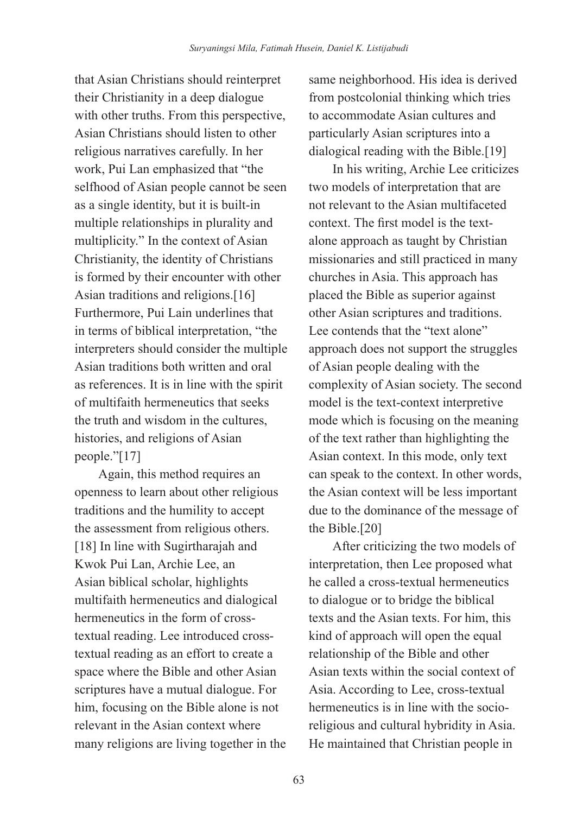that Asian Christians should reinterpret their Christianity in a deep dialogue with other truths. From this perspective, Asian Christians should listen to other religious narratives carefully. In her work, Pui Lan emphasized that "the selfhood of Asian people cannot be seen as a single identity, but it is built-in multiple relationships in plurality and multiplicity." In the context of Asian Christianity, the identity of Christians is formed by their encounter with other Asian traditions and religions.[16] Furthermore, Pui Lain underlines that in terms of biblical interpretation, "the interpreters should consider the multiple Asian traditions both written and oral as references. It is in line with the spirit of multifaith hermeneutics that seeks the truth and wisdom in the cultures histories, and religions of Asian people."[17]

Again, this method requires an openness to learn about other religious traditions and the humility to accept the assessment from religious others. [18] In line with Sugirtharajah and Kwok Pui Lan, Archie Lee, an Asian biblical scholar, highlights multifaith hermeneutics and dialogical hermeneutics in the form of crosstextual reading. Lee introduced crosstextual reading as an effort to create a space where the Bible and other Asian scriptures have a mutual dialogue. For him, focusing on the Bible alone is not relevant in the Asian context where many religions are living together in the same neighborhood. His idea is derived from postcolonial thinking which tries to accommodate Asian cultures and particularly Asian scriptures into a dialogical reading with the Bible.[19]

In his writing, Archie Lee criticizes two models of interpretation that are not relevant to the Asian multifaceted context. The first model is the textalone approach as taught by Christian missionaries and still practiced in many churches in Asia. This approach has placed the Bible as superior against other Asian scriptures and traditions. Lee contends that the "text alone" approach does not support the struggles of Asian people dealing with the complexity of Asian society. The second model is the text-context interpretive mode which is focusing on the meaning of the text rather than highlighting the Asian context. In this mode, only text can speak to the context. In other words, the Asian context will be less important due to the dominance of the message of the Bible.[20]

After criticizing the two models of interpretation, then Lee proposed what he called a cross-textual hermeneutics to dialogue or to bridge the biblical texts and the Asian texts. For him, this kind of approach will open the equal relationship of the Bible and other Asian texts within the social context of Asia. According to Lee, cross-textual hermeneutics is in line with the socioreligious and cultural hybridity in Asia. He maintained that Christian people in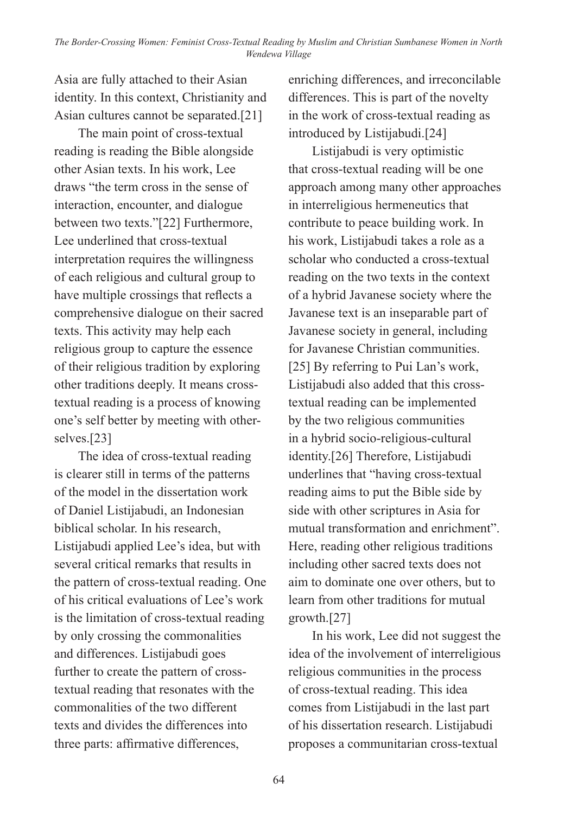Asia are fully attached to their Asian identity. In this context, Christianity and Asian cultures cannot be separated.[21]

The main point of cross-textual reading is reading the Bible alongside other Asian texts. In his work, Lee draws "the term cross in the sense of interaction, encounter, and dialogue between two texts."[22] Furthermore, Lee underlined that cross-textual interpretation requires the willingness of each religious and cultural group to have multiple crossings that reflects a comprehensive dialogue on their sacred texts. This activity may help each religious group to capture the essence of their religious tradition by exploring other traditions deeply. It means crosstextual reading is a process of knowing one's self better by meeting with otherselves.[23]

The idea of cross-textual reading is clearer still in terms of the patterns of the model in the dissertation work of Daniel Listijabudi, an Indonesian biblical scholar. In his research, Listijabudi applied Lee's idea, but with several critical remarks that results in the pattern of cross-textual reading. One of his critical evaluations of Lee's work is the limitation of cross-textual reading by only crossing the commonalities and differences. Listijabudi goes further to create the pattern of crosstextual reading that resonates with the commonalities of the two different texts and divides the differences into three parts: affirmative differences,

enriching differences, and irreconcilable differences. This is part of the novelty in the work of cross-textual reading as introduced by Listijabudi.[24]

Listijabudi is very optimistic that cross-textual reading will be one approach among many other approaches in interreligious hermeneutics that contribute to peace building work. In his work, Listijabudi takes a role as a scholar who conducted a cross-textual reading on the two texts in the context of a hybrid Javanese society where the Javanese text is an inseparable part of Javanese society in general, including for Javanese Christian communities. [25] By referring to Pui Lan's work, Listijabudi also added that this crosstextual reading can be implemented by the two religious communities in a hybrid socio-religious-cultural identity.[26] Therefore, Listijabudi underlines that "having cross-textual reading aims to put the Bible side by side with other scriptures in Asia for mutual transformation and enrichment". Here, reading other religious traditions including other sacred texts does not aim to dominate one over others, but to learn from other traditions for mutual growth.[27]

In his work, Lee did not suggest the idea of the involvement of interreligious religious communities in the process of cross-textual reading. This idea comes from Listijabudi in the last part of his dissertation research. Listijabudi proposes a communitarian cross-textual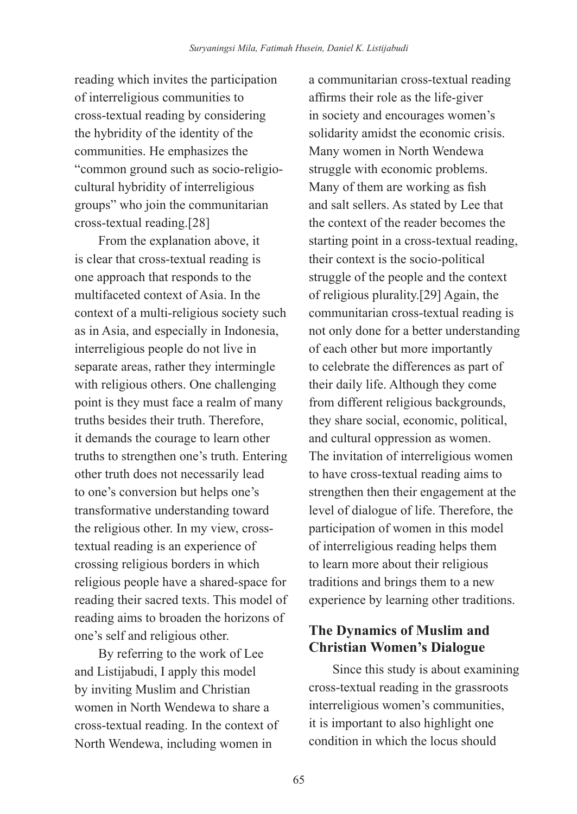reading which invites the participation of interreligious communities to cross-textual reading by considering the hybridity of the identity of the communities. He emphasizes the "common ground such as socio-religiocultural hybridity of interreligious groups" who join the communitarian cross-textual reading.[28]

From the explanation above, it is clear that cross-textual reading is one approach that responds to the multifaceted context of Asia. In the context of a multi-religious society such as in Asia, and especially in Indonesia, interreligious people do not live in separate areas, rather they intermingle with religious others. One challenging point is they must face a realm of many truths besides their truth. Therefore, it demands the courage to learn other truths to strengthen one's truth. Entering other truth does not necessarily lead to one's conversion but helps one's transformative understanding toward the religious other. In my view, crosstextual reading is an experience of crossing religious borders in which religious people have a shared-space for reading their sacred texts. This model of reading aims to broaden the horizons of one's self and religious other.

By referring to the work of Lee and Listijabudi, I apply this model by inviting Muslim and Christian women in North Wendewa to share a cross-textual reading. In the context of North Wendewa, including women in

a communitarian cross-textual reading affirms their role as the life-giver in society and encourages women's solidarity amidst the economic crisis. Many women in North Wendewa struggle with economic problems. Many of them are working as fish and salt sellers. As stated by Lee that the context of the reader becomes the starting point in a cross-textual reading, their context is the socio-political struggle of the people and the context of religious plurality.[29] Again, the communitarian cross-textual reading is not only done for a better understanding of each other but more importantly to celebrate the differences as part of their daily life. Although they come from different religious backgrounds, they share social, economic, political, and cultural oppression as women. The invitation of interreligious women to have cross-textual reading aims to strengthen then their engagement at the level of dialogue of life. Therefore, the participation of women in this model of interreligious reading helps them to learn more about their religious traditions and brings them to a new experience by learning other traditions.

# **The Dynamics of Muslim and Christian Women's Dialogue**

Since this study is about examining cross-textual reading in the grassroots interreligious women's communities, it is important to also highlight one condition in which the locus should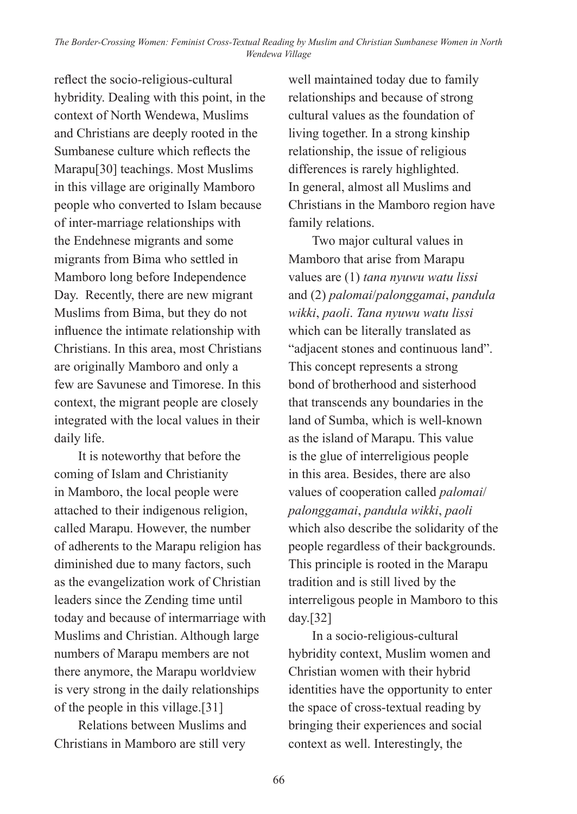reflect the socio-religious-cultural hybridity. Dealing with this point, in the context of North Wendewa, Muslims and Christians are deeply rooted in the Sumbanese culture which reflects the Marapu[30] teachings. Most Muslims in this village are originally Mamboro people who converted to Islam because of inter-marriage relationships with the Endehnese migrants and some migrants from Bima who settled in Mamboro long before Independence Day. Recently, there are new migrant Muslims from Bima, but they do not influence the intimate relationship with Christians. In this area, most Christians are originally Mamboro and only a few are Savunese and Timorese. In this context, the migrant people are closely integrated with the local values in their daily life.

It is noteworthy that before the coming of Islam and Christianity in Mamboro, the local people were attached to their indigenous religion, called Marapu. However, the number of adherents to the Marapu religion has diminished due to many factors, such as the evangelization work of Christian leaders since the Zending time until today and because of intermarriage with Muslims and Christian. Although large numbers of Marapu members are not there anymore, the Marapu worldview is very strong in the daily relationships of the people in this village.[31]

Relations between Muslims and Christians in Mamboro are still very

well maintained today due to family relationships and because of strong cultural values as the foundation of living together. In a strong kinship relationship, the issue of religious differences is rarely highlighted. In general, almost all Muslims and Christians in the Mamboro region have family relations.

Two major cultural values in Mamboro that arise from Marapu values are (1) *tana nyuwu watu lissi* and (2) *palomai*/*palonggamai*, *pandula wikki*, *paoli*. *Tana nyuwu watu lissi*  which can be literally translated as "adjacent stones and continuous land". This concept represents a strong bond of brotherhood and sisterhood that transcends any boundaries in the land of Sumba, which is well-known as the island of Marapu. This value is the glue of interreligious people in this area. Besides, there are also values of cooperation called *palomai*/ *palonggamai*, *pandula wikki*, *paoli*  which also describe the solidarity of the people regardless of their backgrounds. This principle is rooted in the Marapu tradition and is still lived by the interreligous people in Mamboro to this day.[32]

In a socio-religious-cultural hybridity context, Muslim women and Christian women with their hybrid identities have the opportunity to enter the space of cross-textual reading by bringing their experiences and social context as well. Interestingly, the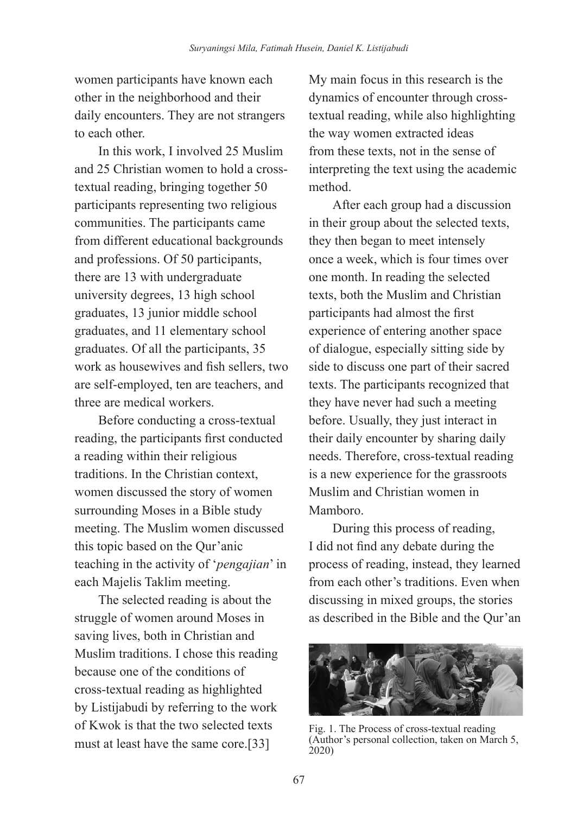women participants have known each other in the neighborhood and their daily encounters. They are not strangers to each other.

In this work, I involved 25 Muslim and 25 Christian women to hold a crosstextual reading, bringing together 50 participants representing two religious communities. The participants came from different educational backgrounds and professions. Of 50 participants, there are 13 with undergraduate university degrees, 13 high school graduates, 13 junior middle school graduates, and 11 elementary school graduates. Of all the participants, 35 work as housewives and fish sellers, two are self-employed, ten are teachers, and three are medical workers.

Before conducting a cross-textual reading, the participants first conducted a reading within their religious traditions. In the Christian context, women discussed the story of women surrounding Moses in a Bible study meeting. The Muslim women discussed this topic based on the Qur'anic teaching in the activity of '*pengajian*' in each Majelis Taklim meeting.

The selected reading is about the struggle of women around Moses in saving lives, both in Christian and Muslim traditions. I chose this reading because one of the conditions of cross-textual reading as highlighted by Listijabudi by referring to the work of Kwok is that the two selected texts must at least have the same core.[33]

My main focus in this research is the dynamics of encounter through crosstextual reading, while also highlighting the way women extracted ideas from these texts, not in the sense of interpreting the text using the academic method.

After each group had a discussion in their group about the selected texts, they then began to meet intensely once a week, which is four times over one month. In reading the selected texts, both the Muslim and Christian participants had almost the first experience of entering another space of dialogue, especially sitting side by side to discuss one part of their sacred texts. The participants recognized that they have never had such a meeting before. Usually, they just interact in their daily encounter by sharing daily needs. Therefore, cross-textual reading is a new experience for the grassroots Muslim and Christian women in Mamboro.

During this process of reading, I did not find any debate during the process of reading, instead, they learned from each other's traditions. Even when discussing in mixed groups, the stories as described in the Bible and the Qur'an



Fig. 1. The Process of cross-textual reading (Author's personal collection, taken on March 5, 2020)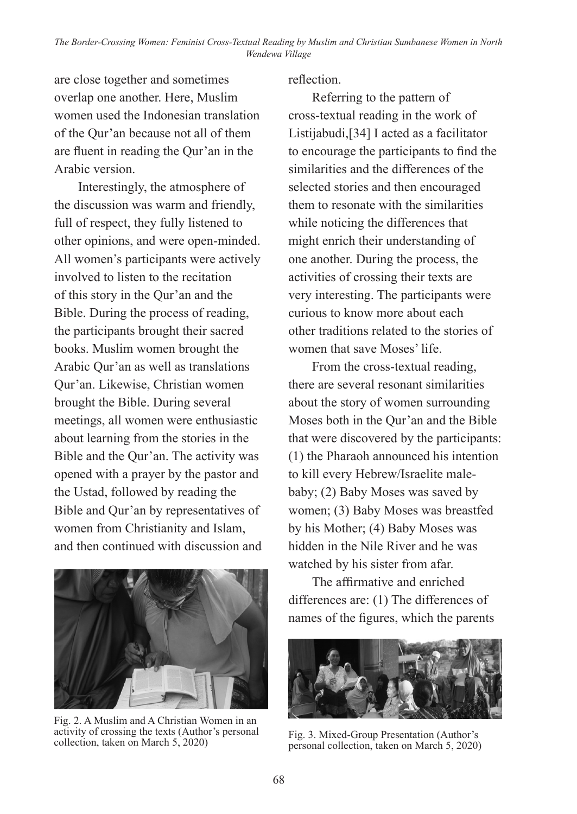are close together and sometimes overlap one another. Here, Muslim women used the Indonesian translation of the Qur'an because not all of them are fluent in reading the Qur'an in the Arabic version.

Interestingly, the atmosphere of the discussion was warm and friendly, full of respect, they fully listened to other opinions, and were open-minded. All women's participants were actively involved to listen to the recitation of this story in the Qur'an and the Bible. During the process of reading, the participants brought their sacred books. Muslim women brought the Arabic Qur'an as well as translations Qur'an. Likewise, Christian women brought the Bible. During several meetings, all women were enthusiastic about learning from the stories in the Bible and the Qur'an. The activity was opened with a prayer by the pastor and the Ustad, followed by reading the Bible and Qur'an by representatives of women from Christianity and Islam, and then continued with discussion and



Fig. 2. A Muslim and A Christian Women in an activity of crossing the texts (Author's personal

reflection.

Referring to the pattern of cross-textual reading in the work of Listijabudi,[34] I acted as a facilitator to encourage the participants to find the similarities and the differences of the selected stories and then encouraged them to resonate with the similarities while noticing the differences that might enrich their understanding of one another. During the process, the activities of crossing their texts are very interesting. The participants were curious to know more about each other traditions related to the stories of women that save Moses' life.

From the cross-textual reading, there are several resonant similarities about the story of women surrounding Moses both in the Qur'an and the Bible that were discovered by the participants: (1) the Pharaoh announced his intention to kill every Hebrew/Israelite malebaby; (2) Baby Moses was saved by women; (3) Baby Moses was breastfed by his Mother; (4) Baby Moses was hidden in the Nile River and he was watched by his sister from afar.

The affirmative and enriched differences are: (1) The differences of names of the figures, which the parents



Fig. 3. Mixed-Group Presentation (Author's personal collection, taken on March 5, 2020)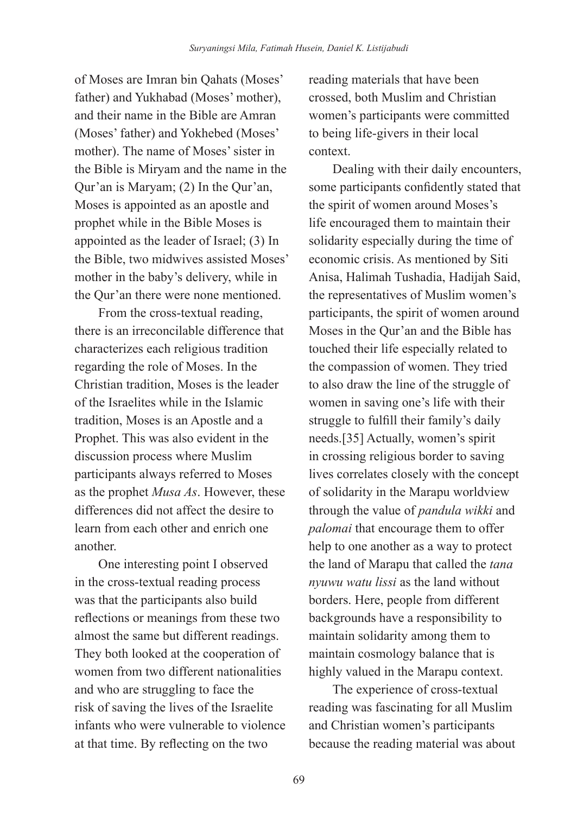of Moses are Imran bin Qahats (Moses' father) and Yukhabad (Moses' mother), and their name in the Bible are Amran (Moses' father) and Yokhebed (Moses' mother). The name of Moses' sister in the Bible is Miryam and the name in the Qur'an is Maryam; (2) In the Qur'an, Moses is appointed as an apostle and prophet while in the Bible Moses is appointed as the leader of Israel; (3) In the Bible, two midwives assisted Moses' mother in the baby's delivery, while in the Qur'an there were none mentioned.

From the cross-textual reading, there is an irreconcilable difference that characterizes each religious tradition regarding the role of Moses. In the Christian tradition, Moses is the leader of the Israelites while in the Islamic tradition, Moses is an Apostle and a Prophet. This was also evident in the discussion process where Muslim participants always referred to Moses as the prophet *Musa As*. However, these differences did not affect the desire to learn from each other and enrich one another.

One interesting point I observed in the cross-textual reading process was that the participants also build reflections or meanings from these two almost the same but different readings. They both looked at the cooperation of women from two different nationalities and who are struggling to face the risk of saving the lives of the Israelite infants who were vulnerable to violence at that time. By reflecting on the two

reading materials that have been crossed, both Muslim and Christian women's participants were committed to being life-givers in their local context.

Dealing with their daily encounters, some participants confidently stated that the spirit of women around Moses's life encouraged them to maintain their solidarity especially during the time of economic crisis. As mentioned by Siti Anisa, Halimah Tushadia, Hadijah Said, the representatives of Muslim women's participants, the spirit of women around Moses in the Qur'an and the Bible has touched their life especially related to the compassion of women. They tried to also draw the line of the struggle of women in saving one's life with their struggle to fulfill their family's daily needs.[35] Actually, women's spirit in crossing religious border to saving lives correlates closely with the concept of solidarity in the Marapu worldview through the value of *pandula wikki* and *palomai* that encourage them to offer help to one another as a way to protect the land of Marapu that called the *tana nyuwu watu lissi* as the land without borders. Here, people from different backgrounds have a responsibility to maintain solidarity among them to maintain cosmology balance that is highly valued in the Marapu context.

The experience of cross-textual reading was fascinating for all Muslim and Christian women's participants because the reading material was about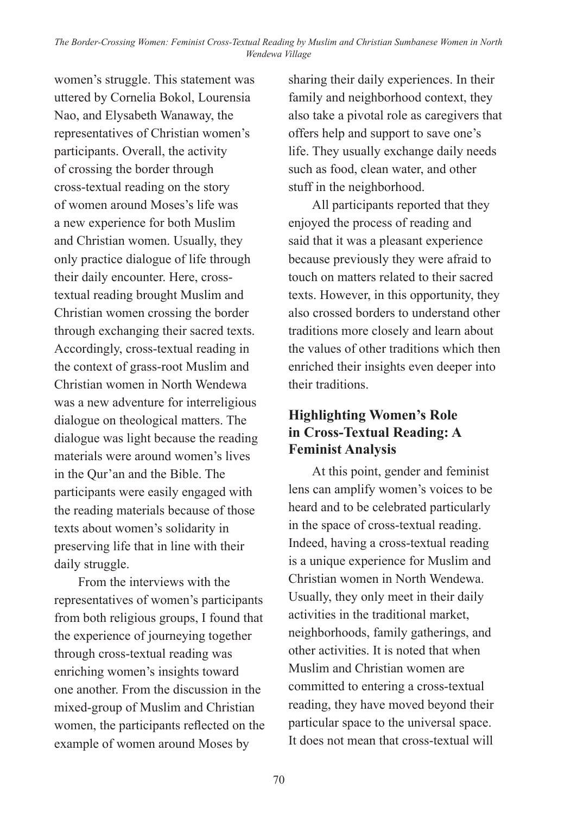women's struggle. This statement was uttered by Cornelia Bokol, Lourensia Nao, and Elysabeth Wanaway, the representatives of Christian women's participants. Overall, the activity of crossing the border through cross-textual reading on the story of women around Moses's life was a new experience for both Muslim and Christian women. Usually, they only practice dialogue of life through their daily encounter. Here, crosstextual reading brought Muslim and Christian women crossing the border through exchanging their sacred texts. Accordingly, cross-textual reading in the context of grass-root Muslim and Christian women in North Wendewa was a new adventure for interreligious dialogue on theological matters. The dialogue was light because the reading materials were around women's lives in the Qur'an and the Bible. The participants were easily engaged with the reading materials because of those texts about women's solidarity in preserving life that in line with their daily struggle.

From the interviews with the representatives of women's participants from both religious groups, I found that the experience of journeying together through cross-textual reading was enriching women's insights toward one another. From the discussion in the mixed-group of Muslim and Christian women, the participants reflected on the example of women around Moses by

sharing their daily experiences. In their family and neighborhood context, they also take a pivotal role as caregivers that offers help and support to save one's life. They usually exchange daily needs such as food, clean water, and other stuff in the neighborhood.

All participants reported that they enjoyed the process of reading and said that it was a pleasant experience because previously they were afraid to touch on matters related to their sacred texts. However, in this opportunity, they also crossed borders to understand other traditions more closely and learn about the values of other traditions which then enriched their insights even deeper into their traditions.

# **Highlighting Women's Role in Cross-Textual Reading: A Feminist Analysis**

At this point, gender and feminist lens can amplify women's voices to be heard and to be celebrated particularly in the space of cross-textual reading. Indeed, having a cross-textual reading is a unique experience for Muslim and Christian women in North Wendewa. Usually, they only meet in their daily activities in the traditional market, neighborhoods, family gatherings, and other activities. It is noted that when Muslim and Christian women are committed to entering a cross-textual reading, they have moved beyond their particular space to the universal space. It does not mean that cross-textual will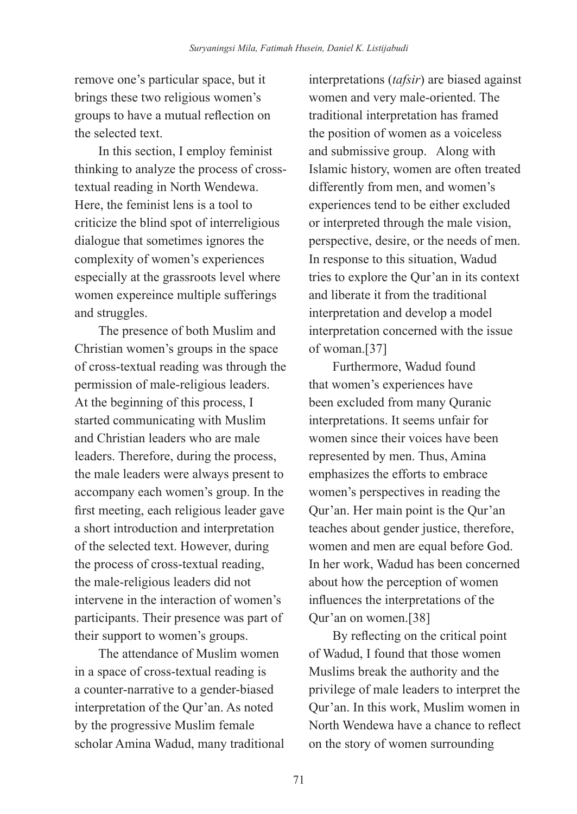remove one's particular space, but it brings these two religious women's groups to have a mutual reflection on the selected text.

In this section, I employ feminist thinking to analyze the process of crosstextual reading in North Wendewa. Here, the feminist lens is a tool to criticize the blind spot of interreligious dialogue that sometimes ignores the complexity of women's experiences especially at the grassroots level where women expereince multiple sufferings and struggles.

The presence of both Muslim and Christian women's groups in the space of cross-textual reading was through the permission of male-religious leaders. At the beginning of this process, I started communicating with Muslim and Christian leaders who are male leaders. Therefore, during the process, the male leaders were always present to accompany each women's group. In the first meeting, each religious leader gave a short introduction and interpretation of the selected text. However, during the process of cross-textual reading, the male-religious leaders did not intervene in the interaction of women's participants. Their presence was part of their support to women's groups.

The attendance of Muslim women in a space of cross-textual reading is a counter-narrative to a gender-biased interpretation of the Qur'an. As noted by the progressive Muslim female scholar Amina Wadud, many traditional

interpretations (*tafsir*) are biased against women and very male-oriented. The traditional interpretation has framed the position of women as a voiceless and submissive group. Along with Islamic history, women are often treated differently from men, and women's experiences tend to be either excluded or interpreted through the male vision, perspective, desire, or the needs of men. In response to this situation, Wadud tries to explore the Qur'an in its context and liberate it from the traditional interpretation and develop a model interpretation concerned with the issue of woman.[37]

Furthermore, Wadud found that women's experiences have been excluded from many Quranic interpretations. It seems unfair for women since their voices have been represented by men. Thus, Amina emphasizes the efforts to embrace women's perspectives in reading the Qur'an. Her main point is the Qur'an teaches about gender justice, therefore, women and men are equal before God. In her work, Wadud has been concerned about how the perception of women influences the interpretations of the Qur'an on women.[38]

By reflecting on the critical point of Wadud, I found that those women Muslims break the authority and the privilege of male leaders to interpret the Qur'an. In this work, Muslim women in North Wendewa have a chance to reflect on the story of women surrounding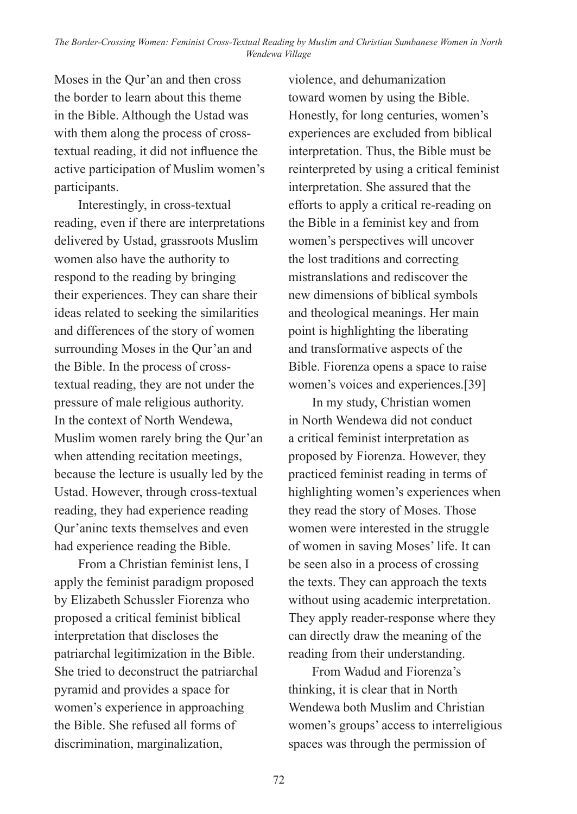Moses in the Qur'an and then cross the border to learn about this theme in the Bible. Although the Ustad was with them along the process of crosstextual reading, it did not influence the active participation of Muslim women's participants.

Interestingly, in cross-textual reading, even if there are interpretations delivered by Ustad, grassroots Muslim women also have the authority to respond to the reading by bringing their experiences. They can share their ideas related to seeking the similarities and differences of the story of women surrounding Moses in the Qur'an and the Bible. In the process of crosstextual reading, they are not under the pressure of male religious authority. In the context of North Wendewa, Muslim women rarely bring the Qur'an when attending recitation meetings, because the lecture is usually led by the Ustad. However, through cross-textual reading, they had experience reading Qur'aninc texts themselves and even had experience reading the Bible.

From a Christian feminist lens, I apply the feminist paradigm proposed by Elizabeth Schussler Fiorenza who proposed a critical feminist biblical interpretation that discloses the patriarchal legitimization in the Bible. She tried to deconstruct the patriarchal pyramid and provides a space for women's experience in approaching the Bible. She refused all forms of discrimination, marginalization,

violence, and dehumanization toward women by using the Bible. Honestly, for long centuries, women's experiences are excluded from biblical interpretation. Thus, the Bible must be reinterpreted by using a critical feminist interpretation. She assured that the efforts to apply a critical re-reading on the Bible in a feminist key and from women's perspectives will uncover the lost traditions and correcting mistranslations and rediscover the new dimensions of biblical symbols and theological meanings. Her main point is highlighting the liberating and transformative aspects of the Bible. Fiorenza opens a space to raise women's voices and experiences.[39]

In my study, Christian women in North Wendewa did not conduct a critical feminist interpretation as proposed by Fiorenza. However, they practiced feminist reading in terms of highlighting women's experiences when they read the story of Moses. Those women were interested in the struggle of women in saving Moses' life. It can be seen also in a process of crossing the texts. They can approach the texts without using academic interpretation. They apply reader-response where they can directly draw the meaning of the reading from their understanding.

From Wadud and Fiorenza's thinking, it is clear that in North Wendewa both Muslim and Christian women's groups' access to interreligious spaces was through the permission of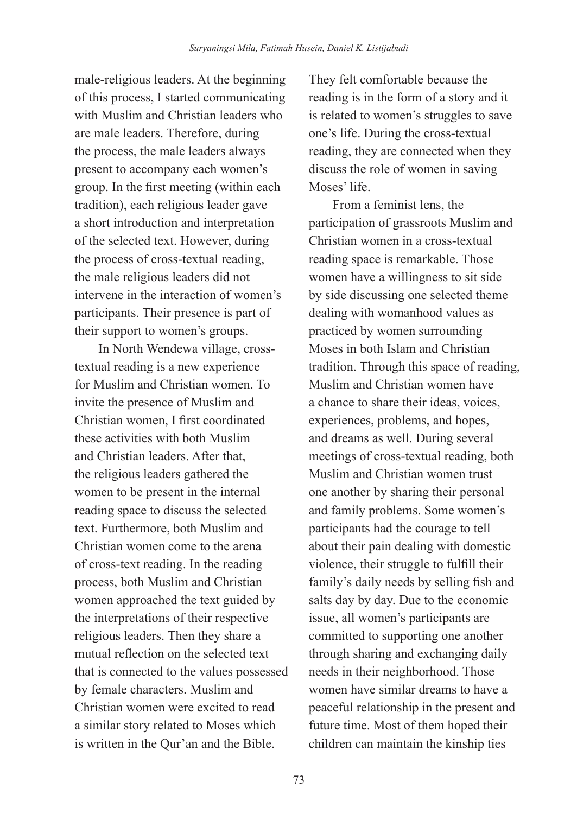male-religious leaders. At the beginning of this process, I started communicating with Muslim and Christian leaders who are male leaders. Therefore, during the process, the male leaders always present to accompany each women's group. In the first meeting (within each tradition), each religious leader gave a short introduction and interpretation of the selected text. However, during the process of cross-textual reading, the male religious leaders did not intervene in the interaction of women's participants. Their presence is part of their support to women's groups.

In North Wendewa village, crosstextual reading is a new experience for Muslim and Christian women. To invite the presence of Muslim and Christian women, I first coordinated these activities with both Muslim and Christian leaders. After that, the religious leaders gathered the women to be present in the internal reading space to discuss the selected text. Furthermore, both Muslim and Christian women come to the arena of cross-text reading. In the reading process, both Muslim and Christian women approached the text guided by the interpretations of their respective religious leaders. Then they share a mutual reflection on the selected text that is connected to the values possessed by female characters. Muslim and Christian women were excited to read a similar story related to Moses which is written in the Qur'an and the Bible.

They felt comfortable because the reading is in the form of a story and it is related to women's struggles to save one's life. During the cross-textual reading, they are connected when they discuss the role of women in saving Moses' life.

From a feminist lens, the participation of grassroots Muslim and Christian women in a cross-textual reading space is remarkable. Those women have a willingness to sit side by side discussing one selected theme dealing with womanhood values as practiced by women surrounding Moses in both Islam and Christian tradition. Through this space of reading, Muslim and Christian women have a chance to share their ideas, voices, experiences, problems, and hopes, and dreams as well. During several meetings of cross-textual reading, both Muslim and Christian women trust one another by sharing their personal and family problems. Some women's participants had the courage to tell about their pain dealing with domestic violence, their struggle to fulfill their family's daily needs by selling fish and salts day by day. Due to the economic issue, all women's participants are committed to supporting one another through sharing and exchanging daily needs in their neighborhood. Those women have similar dreams to have a peaceful relationship in the present and future time. Most of them hoped their children can maintain the kinship ties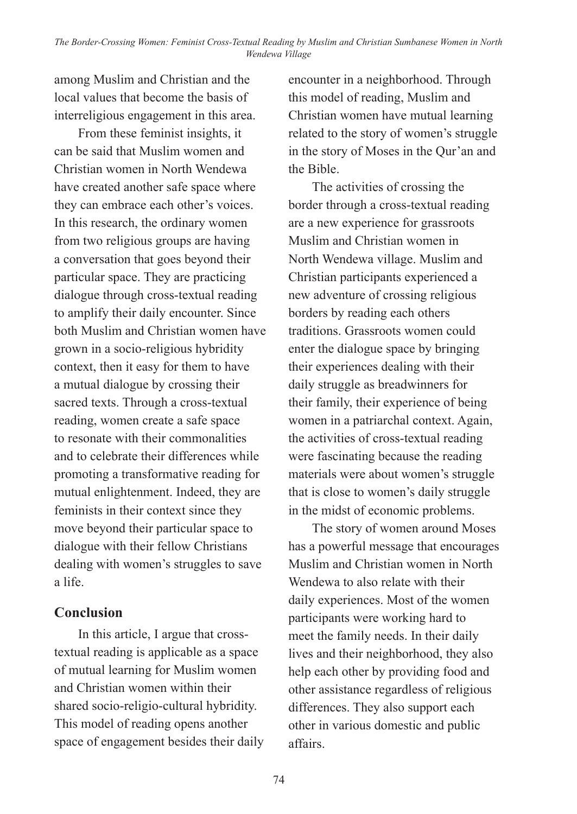among Muslim and Christian and the local values that become the basis of interreligious engagement in this area.

From these feminist insights, it can be said that Muslim women and Christian women in North Wendewa have created another safe space where they can embrace each other's voices. In this research, the ordinary women from two religious groups are having a conversation that goes beyond their particular space. They are practicing dialogue through cross-textual reading to amplify their daily encounter. Since both Muslim and Christian women have grown in a socio-religious hybridity context, then it easy for them to have a mutual dialogue by crossing their sacred texts. Through a cross-textual reading, women create a safe space to resonate with their commonalities and to celebrate their differences while promoting a transformative reading for mutual enlightenment. Indeed, they are feminists in their context since they move beyond their particular space to dialogue with their fellow Christians dealing with women's struggles to save a life.

## **Conclusion**

In this article, I argue that crosstextual reading is applicable as a space of mutual learning for Muslim women and Christian women within their shared socio-religio-cultural hybridity. This model of reading opens another space of engagement besides their daily encounter in a neighborhood. Through this model of reading, Muslim and Christian women have mutual learning related to the story of women's struggle in the story of Moses in the Qur'an and the Bible.

The activities of crossing the border through a cross-textual reading are a new experience for grassroots Muslim and Christian women in North Wendewa village. Muslim and Christian participants experienced a new adventure of crossing religious borders by reading each others traditions. Grassroots women could enter the dialogue space by bringing their experiences dealing with their daily struggle as breadwinners for their family, their experience of being women in a patriarchal context. Again, the activities of cross-textual reading were fascinating because the reading materials were about women's struggle that is close to women's daily struggle in the midst of economic problems.

The story of women around Moses has a powerful message that encourages Muslim and Christian women in North Wendewa to also relate with their daily experiences. Most of the women participants were working hard to meet the family needs. In their daily lives and their neighborhood, they also help each other by providing food and other assistance regardless of religious differences. They also support each other in various domestic and public affairs.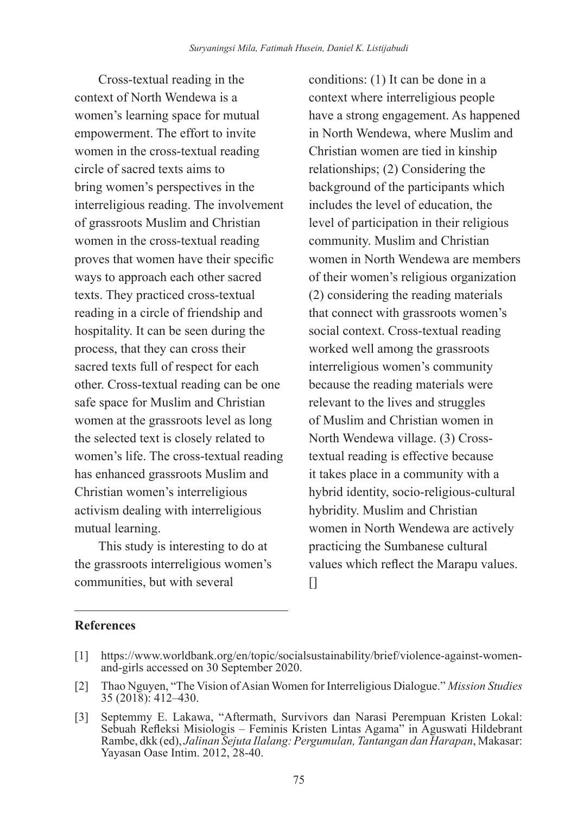Cross-textual reading in the context of North Wendewa is a women's learning space for mutual empowerment. The effort to invite women in the cross-textual reading circle of sacred texts aims to bring women's perspectives in the interreligious reading. The involvement of grassroots Muslim and Christian women in the cross-textual reading proves that women have their specific ways to approach each other sacred texts. They practiced cross-textual reading in a circle of friendship and hospitality. It can be seen during the process, that they can cross their sacred texts full of respect for each other. Cross-textual reading can be one safe space for Muslim and Christian women at the grassroots level as long the selected text is closely related to women's life. The cross-textual reading has enhanced grassroots Muslim and Christian women's interreligious activism dealing with interreligious mutual learning.

This study is interesting to do at the grassroots interreligious women's communities, but with several

conditions: (1) It can be done in a context where interreligious people have a strong engagement. As happened in North Wendewa, where Muslim and Christian women are tied in kinship relationships; (2) Considering the background of the participants which includes the level of education, the level of participation in their religious community. Muslim and Christian women in North Wendewa are members of their women's religious organization (2) considering the reading materials that connect with grassroots women's social context. Cross-textual reading worked well among the grassroots interreligious women's community because the reading materials were relevant to the lives and struggles of Muslim and Christian women in North Wendewa village. (3) Crosstextual reading is effective because it takes place in a community with a hybrid identity, socio-religious-cultural hybridity. Muslim and Christian women in North Wendewa are actively practicing the Sumbanese cultural values which reflect the Marapu values.  $\prod$ 

#### **References**

- [1] https://www.worldbank.org/en/topic/socialsustainability/brief/violence-against-womenand-girls accessed on 30 September 2020.
- [2] Thao Nguyen, "The Vision of Asian Women for Interreligious Dialogue." *Mission Studies* 35 (2018): 412–430.
- [3] Septemmy E. Lakawa, "Aftermath, Survivors dan Narasi Perempuan Kristen Lokal: Sebuah Refleksi Misiologis – Feminis Kristen Lintas Agama" in Aguswati Hildebrant Rambe, dkk (ed), *Jalinan Sejuta Ilalang: Pergumulan, Tantangan dan Harapan*, Makasar: Yayasan Oase Intim. 2012, 28-40.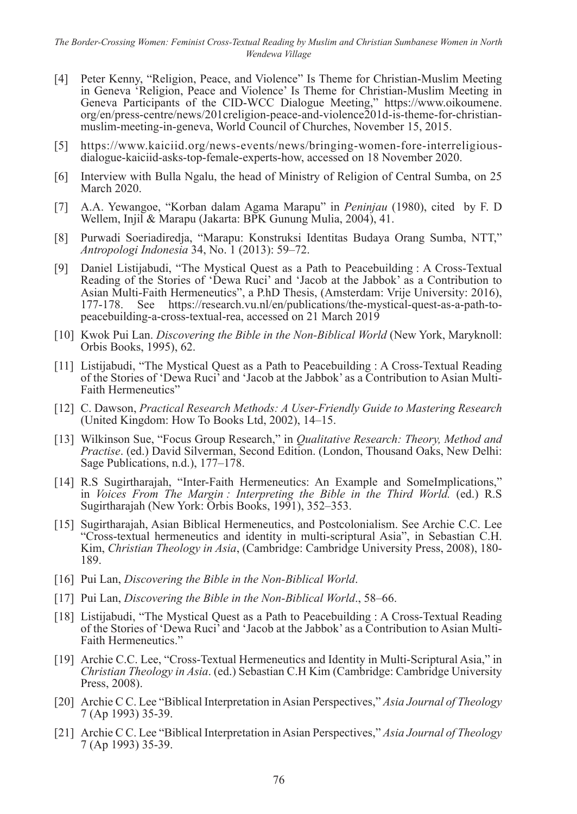- [4] Peter Kenny, "Religion, Peace, and Violence" Is Theme for Christian-Muslim Meeting in Geneva 'Religion, Peace and Violence' Is Theme for Christian-Muslim Meeting in Geneva Participants of the CID-WCC Dialogue Meeting," https://www.oikoumene. org/en/press-centre/news/201creligion-peace-and-violence201d-is-theme-for-christianmuslim-meeting-in-geneva, World Council of Churches, November 15, 2015.
- [5] https://www.kaiciid.org/news-events/news/bringing-women-fore-interreligiousdialogue-kaiciid-asks-top-female-experts-how, accessed on 18 November 2020.
- [6] Interview with Bulla Ngalu, the head of Ministry of Religion of Central Sumba, on 25 March 2020.
- [7] A.A. Yewangoe, "Korban dalam Agama Marapu" in *Peninjau* (1980), cited by F. D Wellem, Injil & Marapu (Jakarta: BPK Gunung Mulia, 2004), 41.
- [8] Purwadi Soeriadiredja, "Marapu: Konstruksi Identitas Budaya Orang Sumba, NTT," *Antropologi Indonesia* 34, No. 1 (2013): 59–72.
- [9] Daniel Listijabudi, "The Mystical Quest as a Path to Peacebuilding : A Cross-Textual Reading of the Stories of 'Dewa Ruci' and 'Jacob at the Jabbok' as a Contribution to Asian Multi-Faith Hermeneutics", a P.h.D Thesis, (Amsterdam: Vrije University: 2016), 177-178. See https://research.vu.nl/en/publications/the-mystical-quest-as-a-path-to-See https://research.vu.nl/en/publications/the-mystical-quest-as-a-path-topeacebuilding-a-cross-textual-rea, accessed on 21 March 2019
- [10] Kwok Pui Lan. *Discovering the Bible in the Non-Biblical World* (New York, Maryknoll: Orbis Books, 1995), 62.
- [11] Listijabudi, "The Mystical Quest as a Path to Peacebuilding : A Cross-Textual Reading of the Stories of 'Dewa Ruci' and 'Jacob at the Jabbok' as a Contribution to Asian Multi-Faith Hermeneutics"
- [12] C. Dawson, *Practical Research Methods: A User-Friendly Guide to Mastering Research*  (United Kingdom: How To Books Ltd, 2002), 14–15.
- [13] Wilkinson Sue, "Focus Group Research," in *Qualitative Research: Theory, Method and Practise*. (ed.) David Silverman, Second Edition. (London, Thousand Oaks, New Delhi: Sage Publications, n.d.), 177–178.
- [14] R.S Sugirtharajah, "Inter-Faith Hermeneutics: An Example and SomeImplications," in *Voices From The Margin : Interpreting the Bible in the Third World.* (ed.) R.S Sugirtharajah (New York: Orbis Books, 1991), 352–353.
- [15] Sugirtharajah, Asian Biblical Hermeneutics, and Postcolonialism. See Archie C.C. Lee "Cross-textual hermeneutics and identity in multi-scriptural Asia", in Sebastian C.H. Kim, *Christian Theology in Asia*, (Cambridge: Cambridge University Press, 2008), 180- 189.
- [16] Pui Lan, *Discovering the Bible in the Non-Biblical World*.
- [17] Pui Lan, *Discovering the Bible in the Non-Biblical World*., 58–66.
- [18] Listijabudi, "The Mystical Quest as a Path to Peacebuilding : A Cross-Textual Reading of the Stories of 'Dewa Ruci' and 'Jacob at the Jabbok' as a Contribution to Asian Multi-Faith Hermeneutics.'
- [19] Archie C.C. Lee, "Cross-Textual Hermeneutics and Identity in Multi-Scriptural Asia," in *Christian Theology in Asia*. (ed.) Sebastian C.H Kim (Cambridge: Cambridge University Press, 2008).
- [20] Archie C C. Lee "Biblical Interpretation in Asian Perspectives," *Asia Journal of Theology*  7 (Ap 1993) 35-39.
- [21] Archie C C. Lee "Biblical Interpretation in Asian Perspectives," *Asia Journal of Theology*  7 (Ap 1993) 35-39.